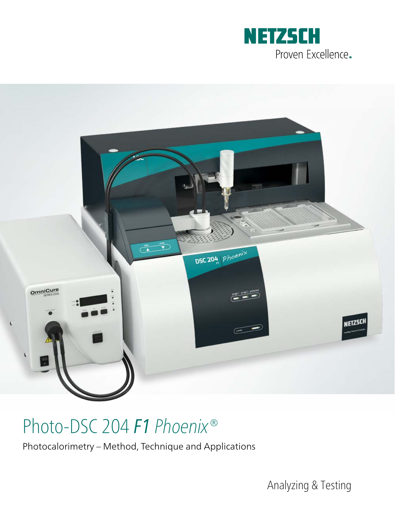



# Photo-DSC 204 *F1 Phoenix®*

Photocalorimetry – Method, Technique and Applications

Analyzing & Testing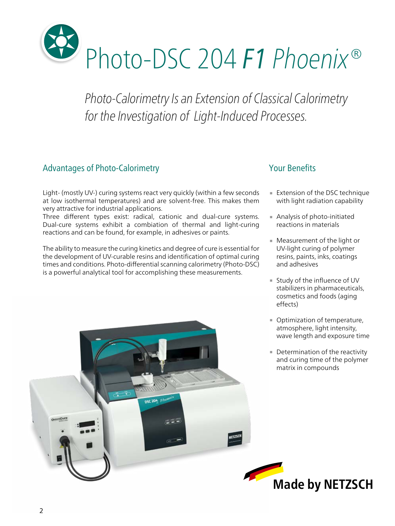

*Photo-Calorimetry Is an Extension of Classical Calorimetry for the Investigation of Light-Induced Processes.*

#### Advantages of Photo-Calorimetry

Light- (mostly UV-) curing systems react very quickly (within a few seconds at low isothermal temperatures) and are solvent-free. This makes them very attractive for industrial applications.

Three different types exist: radical, cationic and dual-cure systems. Dual-cure systems exhibit a combiation of thermal and light-curing reactions and can be found, for example, in adhesives or paints.

The ability to measure the curing kinetics and degree of cure is essential for the development of UV-curable resins and identification of optimal curing times and conditions. Photo-differential scanning calorimetry (Photo-DSC) is a powerful analytical tool for accomplishing these measurements.

#### Your Benefits

- ∙ Extension of the DSC technique with light radiation capability
- ∙ Analysis of photo-initiated reactions in materials
- ∙ Measurement of the light or UV-light curing of polymer resins, paints, inks, coatings and adhesives
- ∙ Study of the influence of UV stabilizers in pharmaceuticals, cosmetics and foods (aging effects)
- ∙ Optimization of temperature, atmosphere, light intensity, wave length and exposure time
- ∙ Determination of the reactivity and curing time of the polymer matrix in compounds

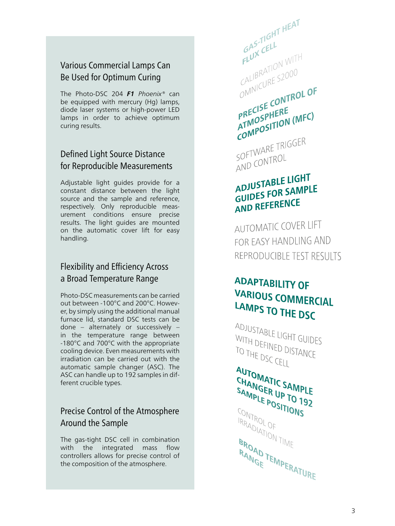#### Various Commercial Lamps Can Be Used for Optimum Curing

The Photo-DSC 204 *F1 Phoenix®* can be equipped with mercury (Hg) lamps, diode laser systems or high-power LED lamps in order to achieve optimum curing results.

#### Defined Light Source Distance for Reproducible Measurements

Adjustable light guides provide for a constant distance between the light source and the sample and reference, respectively. Only reproducible measurement conditions ensure precise results. The light guides are mounted on the automatic cover lift for easy handling.

#### Flexibility and Efficiency Across a Broad Temperature Range

Photo-DSC measurements can be carried out between -100°C and 200°C. Howev er, by simply using the additional manual furnace lid, standard DSC tests can be done – alternately or successively – in the temperature range between -180°C and 700°C with the appropriate cooling device. Even measurements with irradiation can be carried out with the automatic sample changer (ASC). The ASC can handle up to 192 samples in dif ferent crucible types.

#### Precise Control of the Atmosphere Around the Sample

The gas-tight DSC cell in combination with the integrated mass flow controllers allows for precise control of the composition of the atmosphere.

GAS-TIGHT HEAT  $6A5 - T16H$  $FLUX$  CELL<br>FLUX CELL<br>CALIBRATION WITH CALIBRATION WYSING PRECISE CONTROL OF PRECISE CONTRATMOSPHERE PRECISE<br>ATMOSPHERE<br>COMPOSITION (MFC) COMPT<br>SOFTWARE TRIGGER SOFTWAND

### ADJUSTABLE LIGHT ADJUSTABLE POR SAMPLE **GUIDESTON**<br>AND REFERENCE

**AUTOMATIC COVER LIFT** FOR EASY HANDLING AND REPRODUCIBLE TEST RESULTS

### **ADAPTABILITY OF** VARIOUS COMMERCIAL LAMPS TO THE DSC

ADJUSTABLE LIGHT GUIDES WITH DEFINED DISTANCE<br>TO THE DSC CELL TO THE DSC CELL

**AUTOMATIC SAMPLE**<br>CHANGER UP TO 10 CHAMGER UP TO 192 **SAMPLE POSITIONS** TRADIATIOF **BROAM**<br>**BROAM**<br>**BROAM**<br>**BROAM BROAD TEMPERATURE**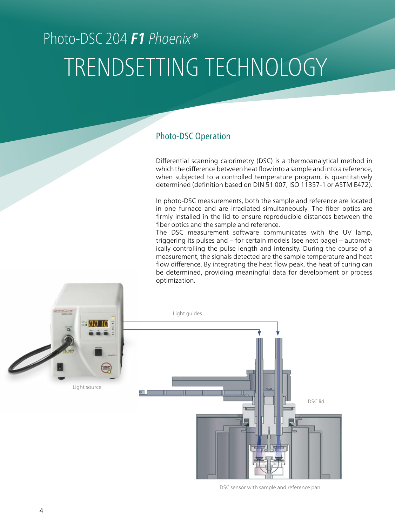# Photo-DSC 204 **F1** *Phoenix®* TRENDSETTING TECHNOLOGY

#### Photo-DSC Operation

Differential scanning calorimetry (DSC) is a thermoanalytical method in which the difference between heat flow into a sample and into a reference, when subjected to a controlled temperature program, is quantitatively determined (definition based on DIN 51 007, ISO 11357-1 or ASTM E472).

In photo-DSC measurements, both the sample and reference are located in one furnace and are irradiated simultaneously. The fiber optics are firmly installed in the lid to ensure reproducible distances between the fiber optics and the sample and reference.

The DSC measurement software communicates with the UV lamp, triggering its pulses and – for certain models (see next page) – automatically controlling the pulse length and intensity. During the course of a measurement, the signals detected are the sample temperature and heat flow difference. By integrating the heat flow peak, the heat of curing can be determined, providing meaningful data for development or process optimization.



DSC sensor with sample and reference pan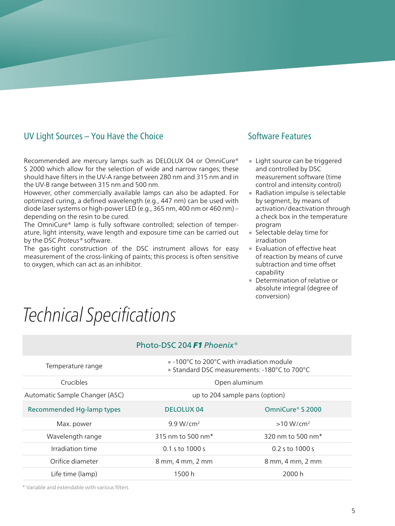#### UV Light Sources – You Have the Choice

Recommended are mercury lamps such as DELOLUX 04 or OmniCure® S 2000 which allow for the selection of wide and narrow ranges; these should have filters in the UV-A range between 280 nm and 315 nm and in the UV-B range between 315 nm and 500 nm.

However, other commercially available lamps can also be adapted. For optimized curing, a defined wavelength (e.g., 447 nm) can be used with diode laser systems or high-power LED (e.g., 365 nm, 400 nm or 460 nm) – depending on the resin to be cured.

The OmniCure® lamp is fully software controlled; selection of temperature, light intensity, wave length and exposure time can be carried out by the DSC *Proteus®* software.

The gas-tight construction of the DSC instrument allows for easy measurement of the cross-linking of paints; this process is often sensitive to oxygen, which can act as an inhibitor.

#### Software Features

- ∙ Light source can be triggered and controlled by DSC measurement software (time control and intensity control)
- ∙ Radiation impulse is selectable by segment, by means of activation/deactivation through a check box in the temperature program
- ∙ Selectable delay time for irradiation
- ∙ Evaluation of effective heat of reaction by means of curve subtraction and time offset capability
- ∙ Determination of relative or absolute integral (degree of conversion)

# *Technical Specifications*

| Photo-DSC 204 <b>F1</b> Phoenix <sup>®</sup> |                                                                                                        |                               |
|----------------------------------------------|--------------------------------------------------------------------------------------------------------|-------------------------------|
| Temperature range                            | $\blacksquare$ -100°C to 200°C with irradiation module<br>■ Standard DSC measurements: -180°C to 700°C |                               |
| <b>Crucibles</b>                             | Open aluminum                                                                                          |                               |
| Automatic Sample Changer (ASC)               | up to 204 sample pans (option)                                                                         |                               |
| <b>Recommended Hg-lamp types</b>             | <b>DELOLUX 04</b>                                                                                      | OmniCure <sup>®</sup> S 2000  |
| Max. power                                   | 9.9 W/cm <sup>2</sup>                                                                                  | $>10 W/cm^2$                  |
| Wavelength range                             | 315 nm to 500 nm <sup>*</sup>                                                                          | 320 nm to 500 nm <sup>*</sup> |
| Irradiation time                             | $0.1$ s to $1000$ s                                                                                    | $0.2$ s to 1000 s             |
| Orifice diameter                             | 8 mm, 4 mm, 2 mm                                                                                       | 8 mm, 4 mm, 2 mm              |
| Life time (lamp)                             | 1500 h                                                                                                 | 2000 h                        |

\* Variable and extendable with various filters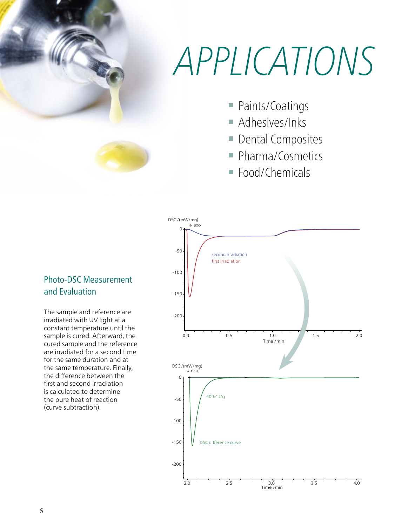### 0  $\Lambda$  / *APPLICATIONS*

- Paints/Coatings
- **Adhesives/Inks** 
	- Dental Composites
	- Pharma/Cosmetics
	- Food/Chemicals



The sample and reference are irradiated with UV light at a constant temperature until the sample is cured. Afterward, the cured sample and the reference are irradiated for a second time for the same duration and at the same temperature. Finally, the difference between the first and second irradiation is calculated to determine the pure heat of reaction (curve subtraction).

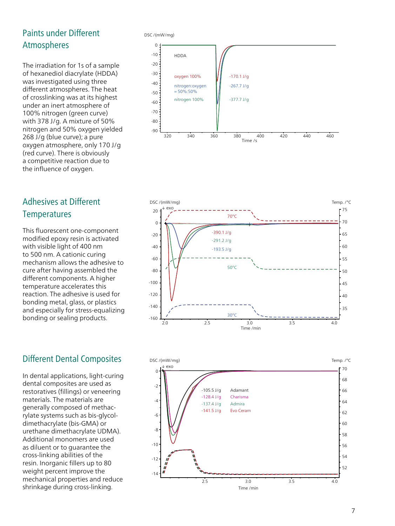#### Paints under Different Atmospheres

The irradiation for 1s of a sample of hexanediol diacrylate (HDDA) was investigated using three different atmospheres. The heat of crosslinking was at its highest under an inert atmosphere of 100% nitrogen (green curve) with 378 J/g. A mixture of 50% nitrogen and 50% oxygen yielded 268 J/g (blue curve); a pure oxygen atmosphere, only 170 J/g (red curve). There is obviously a competitive reaction due to the influence of oxygen.

#### Adhesives at Different **Temperatures**

This fluorescent one-component modified epoxy resin is activated with visible light of 400 nm to 500 nm. A cationic curing mechanism allows the adhesive to cure after having assembled the different components. A higher temperature accelerates this reaction. The adhesive is used for bonding metal, glass, or plastics and especially for stress-equalizing bonding or sealing products.

#### Different Dental Composites

In dental applications, light-curing dental composites are used as restoratives (fillings) or veneering materials. The materials are generally composed of methacrylate systems such as bis-glycoldimethacrylate (bis-GMA) or urethane dimethacrylate UDMA). Additional monomers are used as diluent or to guarantee the cross-linking abilities of the resin. Inorganic fillers up to 80 weight percent improve the mechanical properties and reduce shrinkage during cross-linking.

DSC /(mW/mg)